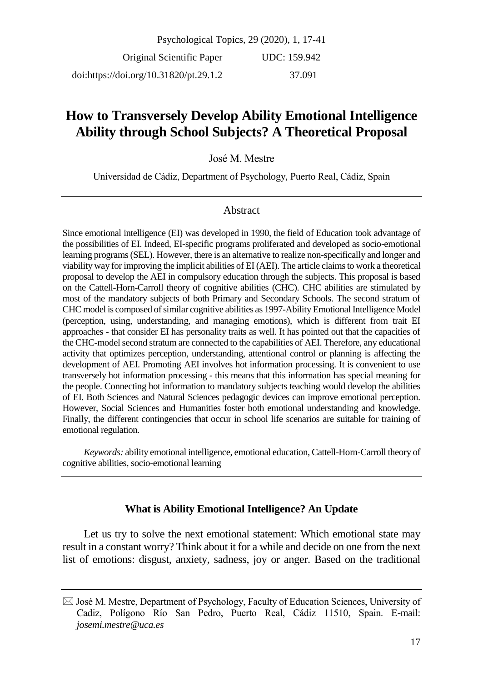Psychological Topics, 29 (2020), 1, 17-41 Original Scientific Paper doi:https://doi.org/10.31820/pt.29.1.2 UDC: 159.942 37.091

# **How to Transversely Develop Ability Emotional Intelligence Ability through School Subjects? A Theoretical Proposal**

José M. Mestre

Universidad de Cádiz, Department of Psychology, Puerto Real, Cádiz, Spain

#### Abstract

Since emotional intelligence (EI) was developed in 1990, the field of Education took advantage of the possibilities of EI. Indeed, EI-specific programs proliferated and developed as socio-emotional learning programs (SEL). However, there is an alternative to realize non-specifically and longer and viability way for improving the implicit abilities of EI (AEI). The article claims to work a theoretical proposal to develop the AEI in compulsory education through the subjects. This proposal is based on the Cattell-Horn-Carroll theory of cognitive abilities (CHC). CHC abilities are stimulated by most of the mandatory subjects of both Primary and Secondary Schools. The second stratum of CHC model is composed of similar cognitive abilities as 1997-Ability Emotional Intelligence Model (perception, using, understanding, and managing emotions), which is different from trait EI approaches - that consider EI has personality traits as well. It has pointed out that the capacities of the CHC-model second stratum are connected to the capabilities of AEI. Therefore, any educational activity that optimizes perception, understanding, attentional control or planning is affecting the development of AEI. Promoting AEI involves hot information processing. It is convenient to use transversely hot information processing - this means that this information has special meaning for the people. Connecting hot information to mandatory subjects teaching would develop the abilities of EI. Both Sciences and Natural Sciences pedagogic devices can improve emotional perception. However, Social Sciences and Humanities foster both emotional understanding and knowledge. Finally, the different contingencies that occur in school life scenarios are suitable for training of emotional regulation.

*Keywords:* ability emotional intelligence, emotional education, Cattell-Horn-Carroll theory of cognitive abilities, socio-emotional learning

## **What is Ability Emotional Intelligence? An Update**

Let us try to solve the next emotional statement: Which emotional state may result in a constant worry? Think about it for a while and decide on one from the next list of emotions: disgust, anxiety, sadness, joy or anger. Based on the traditional

 $\boxtimes$  José M. Mestre, Department of Psychology, Faculty of Education Sciences, University of Cadiz, Polígono Río San Pedro, Puerto Real, Cádiz 11510, Spain. E-mail: *josemi.mestre@uca.es*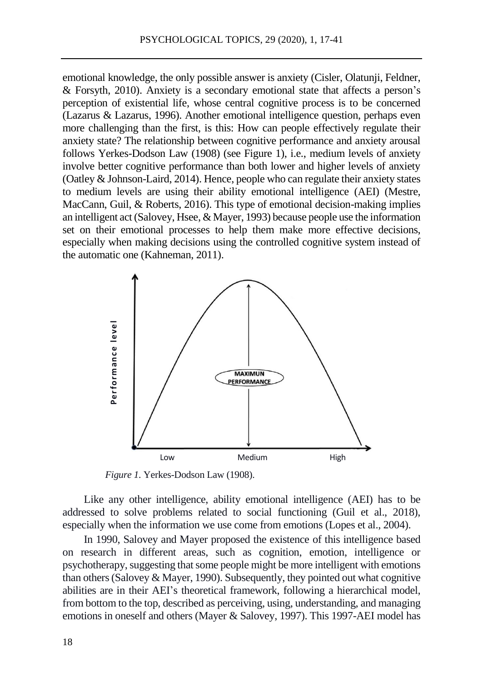emotional knowledge, the only possible answer is anxiety (Cisler, Olatunji, Feldner, & Forsyth, 2010). Anxiety is a secondary emotional state that affects a person's perception of existential life, whose central cognitive process is to be concerned (Lazarus & Lazarus, 1996). Another emotional intelligence question, perhaps even more challenging than the first, is this: How can people effectively regulate their anxiety state? The relationship between cognitive performance and anxiety arousal follows Yerkes-Dodson Law (1908) (see Figure 1), i.e., medium levels of anxiety involve better cognitive performance than both lower and higher levels of anxiety (Oatley & Johnson-Laird, 2014). Hence, people who can regulate their anxiety states to medium levels are using their ability emotional intelligence (AEI) (Mestre, MacCann, Guil, & Roberts, 2016). This type of emotional decision-making implies an intelligent act (Salovey, Hsee, & Mayer, 1993) because people use the information set on their emotional processes to help them make more effective decisions, especially when making decisions using the controlled cognitive system instead of the automatic one (Kahneman, 2011).



*Figure 1.* Yerkes-Dodson Law (1908).

Like any other intelligence, ability emotional intelligence (AEI) has to be addressed to solve problems related to social functioning (Guil et al., 2018), especially when the information we use come from emotions (Lopes et al., 2004).

In 1990, Salovey and Mayer proposed the existence of this intelligence based on research in different areas, such as cognition, emotion, intelligence or psychotherapy, suggesting that some people might be more intelligent with emotions than others (Salovey & Mayer, 1990). Subsequently, they pointed out what cognitive abilities are in their AEI's theoretical framework, following a hierarchical model, from bottom to the top, described as perceiving, using, understanding, and managing emotions in oneself and others (Mayer & Salovey, 1997). This 1997-AEI model has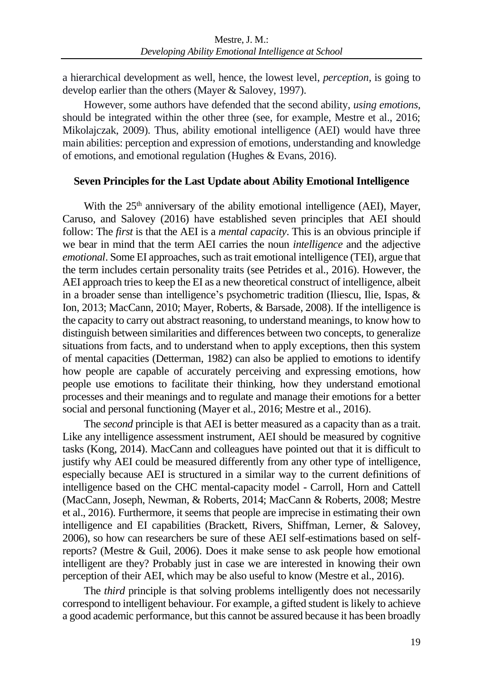a hierarchical development as well, hence, the lowest level, *perception,* is going to develop earlier than the others (Mayer & Salovey, 1997).

However, some authors have defended that the second ability, *using emotions,* should be integrated within the other three (see, for example, Mestre et al., 2016; Mikolajczak, 2009). Thus, ability emotional intelligence (AEI) would have three main abilities: perception and expression of emotions, understanding and knowledge of emotions, and emotional regulation (Hughes & Evans, 2016).

#### **Seven Principles for the Last Update about Ability Emotional Intelligence**

With the  $25<sup>th</sup>$  anniversary of the ability emotional intelligence (AEI), Mayer, Caruso, and Salovey (2016) have established seven principles that AEI should follow: The *first* is that the AEI is a *mental capacity*. This is an obvious principle if we bear in mind that the term AEI carries the noun *intelligence* and the adjective *emotional*. Some EI approaches, such as trait emotional intelligence (TEI), argue that the term includes certain personality traits (see Petrides et al., 2016). However, the AEI approach tries to keep the EI as a new theoretical construct of intelligence, albeit in a broader sense than intelligence's psychometric tradition (Iliescu, Ilie, Ispas, & Ion, 2013; MacCann, 2010; Mayer, Roberts, & Barsade, 2008). If the intelligence is the capacity to carry out abstract reasoning, to understand meanings, to know how to distinguish between similarities and differences between two concepts, to generalize situations from facts, and to understand when to apply exceptions, then this system of mental capacities (Detterman, 1982) can also be applied to emotions to identify how people are capable of accurately perceiving and expressing emotions, how people use emotions to facilitate their thinking, how they understand emotional processes and their meanings and to regulate and manage their emotions for a better social and personal functioning (Mayer et al., 2016; Mestre et al., 2016).

The *second* principle is that AEI is better measured as a capacity than as a trait. Like any intelligence assessment instrument, AEI should be measured by cognitive tasks (Kong, 2014). MacCann and colleagues have pointed out that it is difficult to justify why AEI could be measured differently from any other type of intelligence, especially because AEI is structured in a similar way to the current definitions of intelligence based on the CHC mental-capacity model - Carroll, Horn and Cattell (MacCann, Joseph, Newman, & Roberts, 2014; MacCann & Roberts, 2008; Mestre et al., 2016). Furthermore, it seems that people are imprecise in estimating their own intelligence and EI capabilities (Brackett, Rivers, Shiffman, Lerner, & Salovey, 2006), so how can researchers be sure of these AEI self-estimations based on selfreports? (Mestre & Guil, 2006). Does it make sense to ask people how emotional intelligent are they? Probably just in case we are interested in knowing their own perception of their AEI, which may be also useful to know (Mestre et al., 2016).

The *third* principle is that solving problems intelligently does not necessarily correspond to intelligent behaviour. For example, a gifted student is likely to achieve a good academic performance, but this cannot be assured because it has been broadly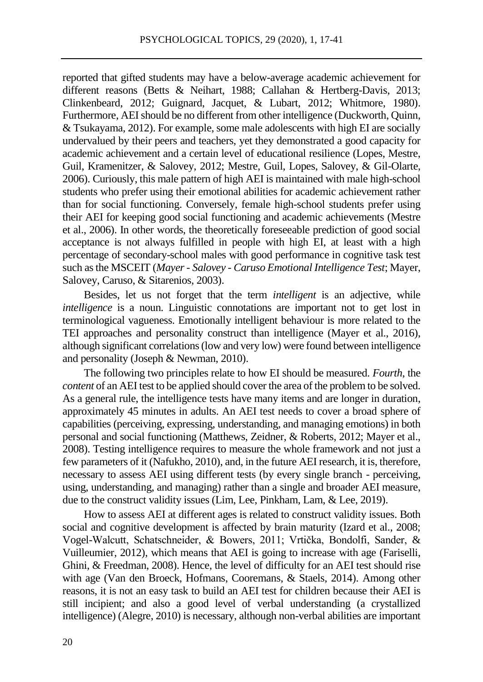reported that gifted students may have a below-average academic achievement for different reasons (Betts & Neihart, 1988; Callahan & Hertberg-Davis, 2013; Clinkenbeard, 2012; Guignard, Jacquet, & Lubart, 2012; Whitmore, 1980). Furthermore, AEI should be no different from other intelligence (Duckworth, Quinn, & Tsukayama, 2012). For example, some male adolescents with high EI are socially undervalued by their peers and teachers, yet they demonstrated a good capacity for academic achievement and a certain level of educational resilience (Lopes, Mestre, Guil, Kramenitzer, & Salovey, 2012; Mestre, Guil, Lopes, Salovey, & Gil-Olarte, 2006). Curiously, this male pattern of high AEI is maintained with male high-school students who prefer using their emotional abilities for academic achievement rather than for social functioning. Conversely, female high-school students prefer using their AEI for keeping good social functioning and academic achievements (Mestre et al., 2006). In other words, the theoretically foreseeable prediction of good social acceptance is not always fulfilled in people with high EI, at least with a high percentage of secondary-school males with good performance in cognitive task test such as the MSCEIT (*Mayer - Salovey - Caruso Emotional Intelligence Test*; Mayer, Salovey, Caruso, & Sitarenios, 2003).

Besides, let us not forget that the term *intelligent* is an adjective, while *intelligence* is a noun. Linguistic connotations are important not to get lost in terminological vagueness. Emotionally intelligent behaviour is more related to the TEI approaches and personality construct than intelligence (Mayer et al., 2016), although significant correlations (low and very low) were found between intelligence and personality (Joseph & Newman, 2010).

The following two principles relate to how EI should be measured. *Fourth*, the *content* of an AEI test to be applied should cover the area of the problem to be solved. As a general rule, the intelligence tests have many items and are longer in duration, approximately 45 minutes in adults. An AEI test needs to cover a broad sphere of capabilities (perceiving, expressing, understanding, and managing emotions) in both personal and social functioning (Matthews, Zeidner, & Roberts, 2012; Mayer et al., 2008). Testing intelligence requires to measure the whole framework and not just a few parameters of it (Nafukho, 2010), and, in the future AEI research, it is, therefore, necessary to assess AEI using different tests (by every single branch - perceiving, using, understanding, and managing) rather than a single and broader AEI measure, due to the construct validity issues (Lim, Lee, Pinkham, Lam, & Lee, 2019).

How to assess AEI at different ages is related to construct validity issues. Both social and cognitive development is affected by brain maturity (Izard et al., 2008; Vogel-Walcutt, Schatschneider, & Bowers, 2011; Vrtička, Bondolfi, Sander, & Vuilleumier, 2012), which means that AEI is going to increase with age (Fariselli, Ghini, & Freedman, 2008). Hence, the level of difficulty for an AEI test should rise with age (Van den Broeck, Hofmans, Cooremans, & Staels, 2014). Among other reasons, it is not an easy task to build an AEI test for children because their AEI is still incipient; and also a good level of verbal understanding (a crystallized intelligence) (Alegre, 2010) is necessary, although non-verbal abilities are important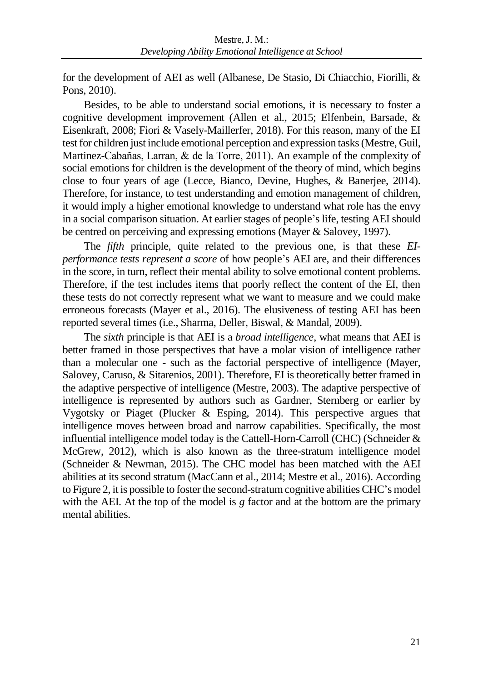for the development of AEI as well (Albanese, De Stasio, Di Chiacchio, Fiorilli, & Pons, 2010).

Besides, to be able to understand social emotions, it is necessary to foster a cognitive development improvement (Allen et al., 2015; Elfenbein, Barsade, & Eisenkraft, 2008; Fiori & Vasely-Maillerfer, 2018). For this reason, many of the EI test for children just include emotional perception and expression tasks (Mestre, Guil, Martinez-Cabañas, Larran, & de la Torre, 2011). An example of the complexity of social emotions for children is the development of the theory of mind, which begins close to four years of age (Lecce, Bianco, Devine, Hughes, & Banerjee, 2014). Therefore, for instance, to test understanding and emotion management of children, it would imply a higher emotional knowledge to understand what role has the envy in a social comparison situation. At earlier stages of people's life, testing AEI should be centred on perceiving and expressing emotions (Mayer & Salovey, 1997).

The *fifth* principle, quite related to the previous one, is that these *EIperformance tests represent a score* of how people's AEI are, and their differences in the score, in turn, reflect their mental ability to solve emotional content problems. Therefore, if the test includes items that poorly reflect the content of the EI, then these tests do not correctly represent what we want to measure and we could make erroneous forecasts (Mayer et al., 2016). The elusiveness of testing AEI has been reported several times (i.e., Sharma, Deller, Biswal, & Mandal, 2009).

The *sixth* principle is that AEI is a *broad intelligence*, what means that AEI is better framed in those perspectives that have a molar vision of intelligence rather than a molecular one - such as the factorial perspective of intelligence (Mayer, Salovey, Caruso, & Sitarenios, 2001). Therefore, EI is theoretically better framed in the adaptive perspective of intelligence (Mestre, 2003). The adaptive perspective of intelligence is represented by authors such as Gardner, Sternberg or earlier by Vygotsky or Piaget (Plucker & Esping, 2014). This perspective argues that intelligence moves between broad and narrow capabilities. Specifically, the most influential intelligence model today is the Cattell-Horn-Carroll (CHC) (Schneider & McGrew, 2012), which is also known as the three-stratum intelligence model (Schneider & Newman, 2015). The CHC model has been matched with the AEI abilities at its second stratum (MacCann et al., 2014; Mestre et al., 2016). According to Figure 2, it is possible to foster the second-stratum cognitive abilities CHC's model with the AEI. At the top of the model is *g* factor and at the bottom are the primary mental abilities.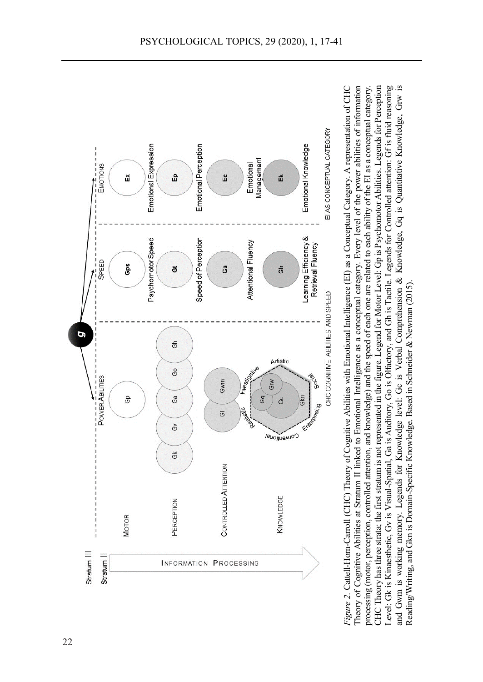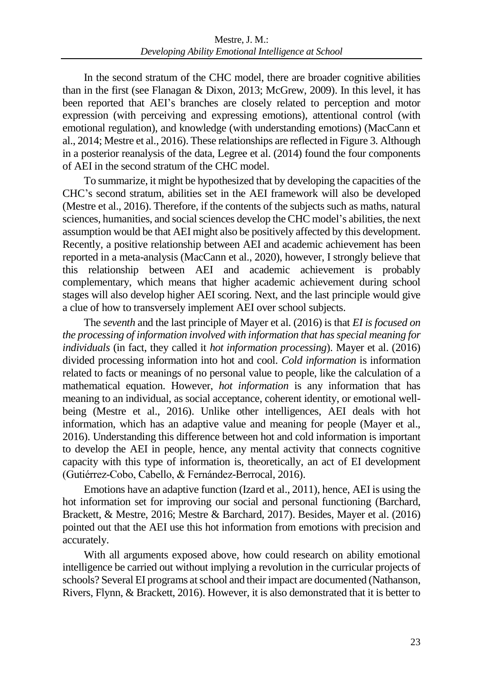In the second stratum of the CHC model, there are broader cognitive abilities than in the first (see Flanagan & Dixon, 2013; McGrew, 2009). In this level, it has been reported that AEI's branches are closely related to perception and motor expression (with perceiving and expressing emotions), attentional control (with emotional regulation), and knowledge (with understanding emotions) (MacCann et al., 2014; Mestre et al., 2016). These relationships are reflected in Figure 3. Although in a posterior reanalysis of the data, Legree et al. (2014) found the four components of AEI in the second stratum of the CHC model.

To summarize, it might be hypothesized that by developing the capacities of the CHC's second stratum, abilities set in the AEI framework will also be developed (Mestre et al., 2016). Therefore, if the contents of the subjects such as maths, natural sciences, humanities, and social sciences develop the CHC model's abilities, the next assumption would be that AEI might also be positively affected by this development. Recently, a positive relationship between AEI and academic achievement has been reported in a meta-analysis (MacCann et al., 2020), however, I strongly believe that this relationship between AEI and academic achievement is probably complementary, which means that higher academic achievement during school stages will also develop higher AEI scoring. Next, and the last principle would give a clue of how to transversely implement AEI over school subjects.

The *seventh* and the last principle of Mayer et al. (2016) is that *EI is focused on the processing of information involved with information that has special meaning for individuals* (in fact, they called it *hot information processing*). Mayer et al. (2016) divided processing information into hot and cool. *Cold information* is information related to facts or meanings of no personal value to people, like the calculation of a mathematical equation. However, *hot information* is any information that has meaning to an individual, as social acceptance, coherent identity, or emotional wellbeing (Mestre et al., 2016). Unlike other intelligences, AEI deals with hot information, which has an adaptive value and meaning for people (Mayer et al., 2016). Understanding this difference between hot and cold information is important to develop the AEI in people, hence, any mental activity that connects cognitive capacity with this type of information is, theoretically, an act of EI development (Gutiérrez-Cobo, Cabello, & Fernández-Berrocal, 2016).

Emotions have an adaptive function (Izard et al., 2011), hence, AEI is using the hot information set for improving our social and personal functioning (Barchard, Brackett, & Mestre, 2016; Mestre & Barchard, 2017). Besides, Mayer et al. (2016) pointed out that the AEI use this hot information from emotions with precision and accurately.

With all arguments exposed above, how could research on ability emotional intelligence be carried out without implying a revolution in the curricular projects of schools? Several EI programs at school and their impact are documented (Nathanson, Rivers, Flynn, & Brackett, 2016). However, it is also demonstrated that it is better to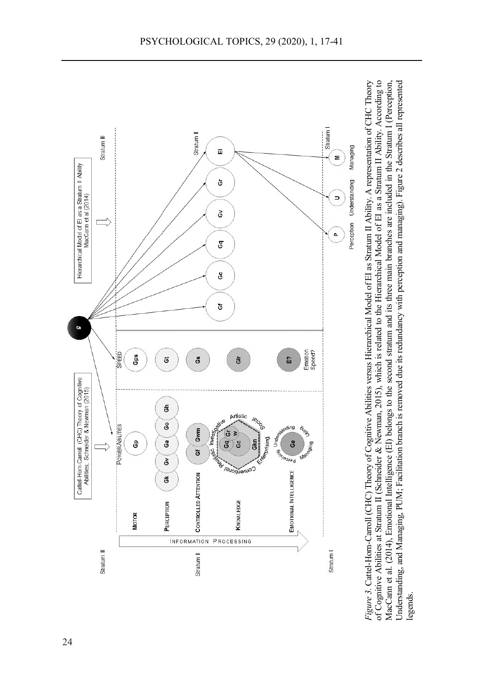

 $i \in \mathbb{Z}$ intelligence) is necessary, although non-verbal abilities are inportant abilities are in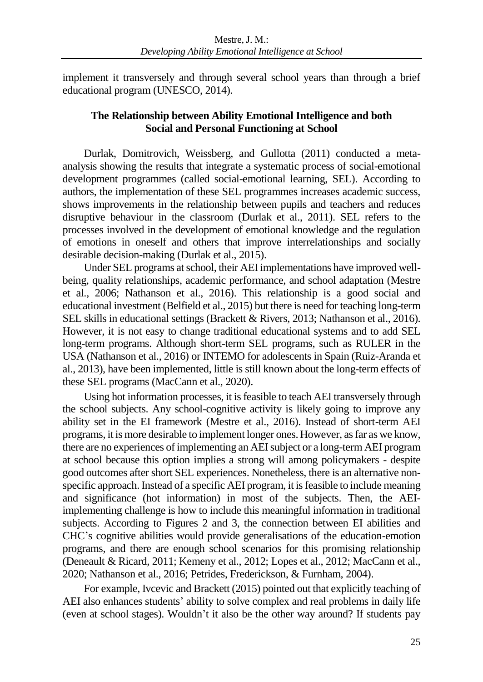implement it transversely and through several school years than through a brief educational program (UNESCO, 2014).

# **The Relationship between Ability Emotional Intelligence and both Social and Personal Functioning at School**

Durlak, Domitrovich, Weissberg, and Gullotta (2011) conducted a metaanalysis showing the results that integrate a systematic process of social-emotional development programmes (called social-emotional learning, SEL). According to authors, the implementation of these SEL programmes increases academic success, shows improvements in the relationship between pupils and teachers and reduces disruptive behaviour in the classroom (Durlak et al., 2011). SEL refers to the processes involved in the development of emotional knowledge and the regulation of emotions in oneself and others that improve interrelationships and socially desirable decision-making (Durlak et al., 2015).

Under SEL programs at school, their AEI implementations have improved wellbeing, quality relationships, academic performance, and school adaptation (Mestre et al., 2006; Nathanson et al., 2016). This relationship is a good social and educational investment (Belfield et al., 2015) but there is need for teaching long-term SEL skills in educational settings (Brackett & Rivers, 2013; Nathanson et al., 2016). However, it is not easy to change traditional educational systems and to add SEL long-term programs. Although short-term SEL programs, such as RULER in the USA (Nathanson et al., 2016) or INTEMO for adolescents in Spain (Ruiz-Aranda et al., 2013), have been implemented, little is still known about the long-term effects of these SEL programs (MacCann et al., 2020).

Using hot information processes, it is feasible to teach AEI transversely through the school subjects. Any school-cognitive activity is likely going to improve any ability set in the EI framework (Mestre et al., 2016). Instead of short-term AEI programs, it is more desirable to implement longer ones. However, as far as we know, there are no experiences of implementing an AEI subject or a long-term AEI program at school because this option implies a strong will among policymakers - despite good outcomes after short SEL experiences. Nonetheless, there is an alternative nonspecific approach. Instead of a specific AEI program, it is feasible to include meaning and significance (hot information) in most of the subjects. Then, the AEIimplementing challenge is how to include this meaningful information in traditional subjects. According to Figures 2 and 3, the connection between EI abilities and CHC's cognitive abilities would provide generalisations of the education-emotion programs, and there are enough school scenarios for this promising relationship (Deneault & Ricard, 2011; Kemeny et al., 2012; Lopes et al., 2012; MacCann et al., 2020; Nathanson et al., 2016; Petrides, Frederickson, & Furnham, 2004).

For example, Ivcevic and Brackett (2015) pointed out that explicitly teaching of AEI also enhances students' ability to solve complex and real problems in daily life (even at school stages). Wouldn't it also be the other way around? If students pay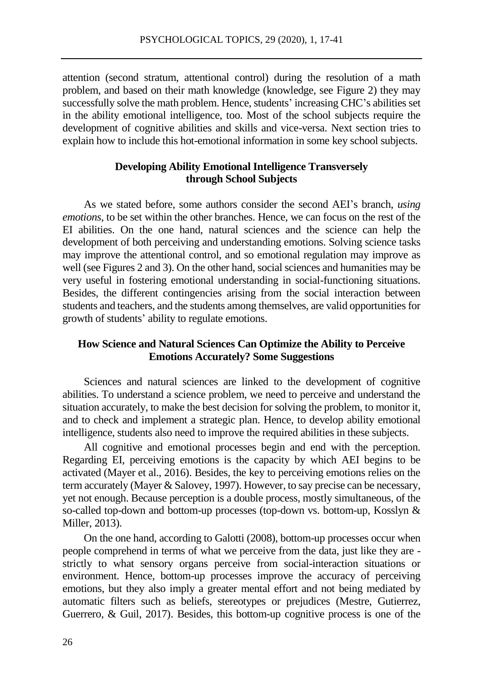attention (second stratum, attentional control) during the resolution of a math problem, and based on their math knowledge (knowledge, see Figure 2) they may successfully solve the math problem. Hence, students' increasing CHC's abilities set in the ability emotional intelligence, too. Most of the school subjects require the development of cognitive abilities and skills and vice-versa. Next section tries to explain how to include this hot-emotional information in some key school subjects.

## **Developing Ability Emotional Intelligence Transversely through School Subjects**

As we stated before, some authors consider the second AEI's branch, *using emotions*, to be set within the other branches. Hence, we can focus on the rest of the EI abilities. On the one hand, natural sciences and the science can help the development of both perceiving and understanding emotions. Solving science tasks may improve the attentional control, and so emotional regulation may improve as well (see Figures 2 and 3). On the other hand, social sciences and humanities may be very useful in fostering emotional understanding in social-functioning situations. Besides, the different contingencies arising from the social interaction between students and teachers, and the students among themselves, are valid opportunities for growth of students' ability to regulate emotions.

## **How Science and Natural Sciences Can Optimize the Ability to Perceive Emotions Accurately? Some Suggestions**

Sciences and natural sciences are linked to the development of cognitive abilities. To understand a science problem, we need to perceive and understand the situation accurately, to make the best decision for solving the problem, to monitor it, and to check and implement a strategic plan. Hence, to develop ability emotional intelligence, students also need to improve the required abilities in these subjects.

All cognitive and emotional processes begin and end with the perception. Regarding EI, perceiving emotions is the capacity by which AEI begins to be activated (Mayer et al., 2016). Besides, the key to perceiving emotions relies on the term accurately (Mayer & Salovey, 1997). However, to say precise can be necessary, yet not enough. Because perception is a double process, mostly simultaneous, of the so-called top-down and bottom-up processes (top-down vs. bottom-up, Kosslyn & Miller, 2013).

On the one hand, according to Galotti (2008), bottom-up processes occur when people comprehend in terms of what we perceive from the data, just like they are strictly to what sensory organs perceive from social-interaction situations or environment. Hence, bottom-up processes improve the accuracy of perceiving emotions, but they also imply a greater mental effort and not being mediated by automatic filters such as beliefs, stereotypes or prejudices (Mestre, Gutierrez, Guerrero, & Guil, 2017). Besides, this bottom-up cognitive process is one of the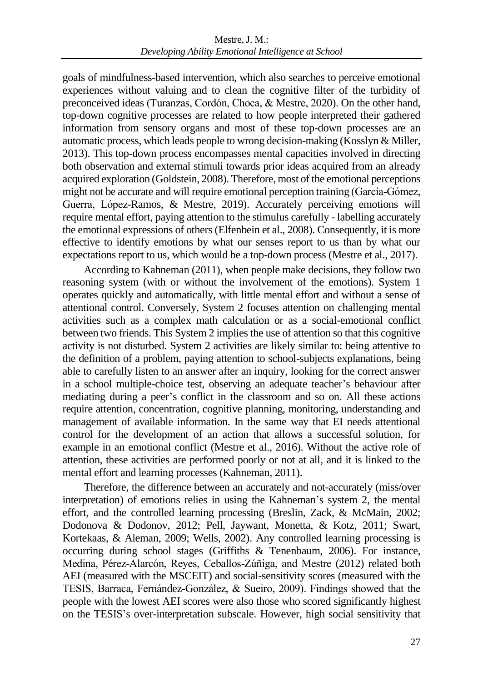goals of mindfulness-based intervention, which also searches to perceive emotional experiences without valuing and to clean the cognitive filter of the turbidity of preconceived ideas (Turanzas, Cordón, Choca, & Mestre, 2020). On the other hand, top-down cognitive processes are related to how people interpreted their gathered information from sensory organs and most of these top-down processes are an automatic process, which leads people to wrong decision-making (Kosslyn & Miller, 2013). This top-down process encompasses mental capacities involved in directing both observation and external stimuli towards prior ideas acquired from an already acquired exploration (Goldstein, 2008). Therefore, most of the emotional perceptions might not be accurate and will require emotional perception training (García-Gómez, Guerra, López-Ramos, & Mestre, 2019). Accurately perceiving emotions will require mental effort, paying attention to the stimulus carefully - labelling accurately the emotional expressions of others (Elfenbein et al., 2008). Consequently, it is more effective to identify emotions by what our senses report to us than by what our expectations report to us, which would be a top-down process (Mestre et al., 2017).

According to Kahneman (2011), when people make decisions, they follow two reasoning system (with or without the involvement of the emotions). System 1 operates quickly and automatically, with little mental effort and without a sense of attentional control. Conversely, System 2 focuses attention on challenging mental activities such as a complex math calculation or as a social-emotional conflict between two friends. This System 2 implies the use of attention so that this cognitive activity is not disturbed. System 2 activities are likely similar to: being attentive to the definition of a problem, paying attention to school-subjects explanations, being able to carefully listen to an answer after an inquiry, looking for the correct answer in a school multiple-choice test, observing an adequate teacher's behaviour after mediating during a peer's conflict in the classroom and so on. All these actions require attention, concentration, cognitive planning, monitoring, understanding and management of available information. In the same way that EI needs attentional control for the development of an action that allows a successful solution, for example in an emotional conflict (Mestre et al., 2016). Without the active role of attention, these activities are performed poorly or not at all, and it is linked to the mental effort and learning processes (Kahneman, 2011).

Therefore, the difference between an accurately and not-accurately (miss/over interpretation) of emotions relies in using the Kahneman's system 2, the mental effort, and the controlled learning processing (Breslin, Zack, & McMain, 2002; Dodonova & Dodonov, 2012; Pell, Jaywant, Monetta, & Kotz, 2011; Swart, Kortekaas, & Aleman, 2009; Wells, 2002). Any controlled learning processing is occurring during school stages (Griffiths & Tenenbaum, 2006). For instance, Medina, Pérez-Alarcón, Reyes, Ceballos-Zúñiga, and Mestre (2012) related both AEI (measured with the MSCEIT) and social-sensitivity scores (measured with the TESIS, Barraca, Fernández-González, & Sueiro, 2009). Findings showed that the people with the lowest AEI scores were also those who scored significantly highest on the TESIS's over-interpretation subscale. However, high social sensitivity that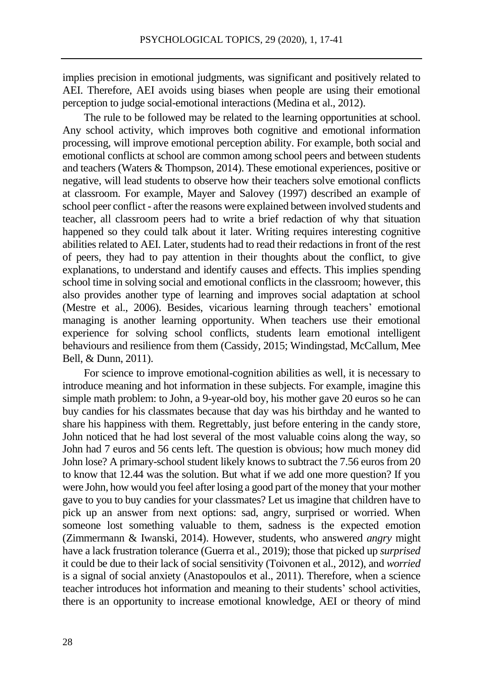implies precision in emotional judgments, was significant and positively related to AEI. Therefore, AEI avoids using biases when people are using their emotional perception to judge social-emotional interactions (Medina et al., 2012).

The rule to be followed may be related to the learning opportunities at school. Any school activity, which improves both cognitive and emotional information processing, will improve emotional perception ability. For example, both social and emotional conflicts at school are common among school peers and between students and teachers (Waters & Thompson, 2014). These emotional experiences, positive or negative, will lead students to observe how their teachers solve emotional conflicts at classroom. For example, Mayer and Salovey (1997) described an example of school peer conflict - after the reasons were explained between involved students and teacher, all classroom peers had to write a brief redaction of why that situation happened so they could talk about it later. Writing requires interesting cognitive abilities related to AEI. Later, students had to read their redactions in front of the rest of peers, they had to pay attention in their thoughts about the conflict, to give explanations, to understand and identify causes and effects. This implies spending school time in solving social and emotional conflicts in the classroom; however, this also provides another type of learning and improves social adaptation at school (Mestre et al., 2006). Besides, vicarious learning through teachers' emotional managing is another learning opportunity. When teachers use their emotional experience for solving school conflicts, students learn emotional intelligent behaviours and resilience from them (Cassidy, 2015; Windingstad, McCallum, Mee Bell, & Dunn, 2011).

For science to improve emotional-cognition abilities as well, it is necessary to introduce meaning and hot information in these subjects. For example, imagine this simple math problem: to John, a 9-year-old boy, his mother gave 20 euros so he can buy candies for his classmates because that day was his birthday and he wanted to share his happiness with them. Regrettably, just before entering in the candy store, John noticed that he had lost several of the most valuable coins along the way, so John had 7 euros and 56 cents left. The question is obvious; how much money did John lose? A primary-school student likely knows to subtract the 7.56 euros from 20 to know that 12.44 was the solution. But what if we add one more question? If you were John, how would you feel after losing a good part of the money that your mother gave to you to buy candies for your classmates? Let us imagine that children have to pick up an answer from next options: sad, angry, surprised or worried. When someone lost something valuable to them, sadness is the expected emotion (Zimmermann & Iwanski, 2014). However, students, who answered *angry* might have a lack frustration tolerance (Guerra et al., 2019); those that picked up *surprised* it could be due to their lack of social sensitivity (Toivonen et al., 2012), and *worried* is a signal of social anxiety (Anastopoulos et al., 2011). Therefore, when a science teacher introduces hot information and meaning to their students' school activities, there is an opportunity to increase emotional knowledge, AEI or theory of mind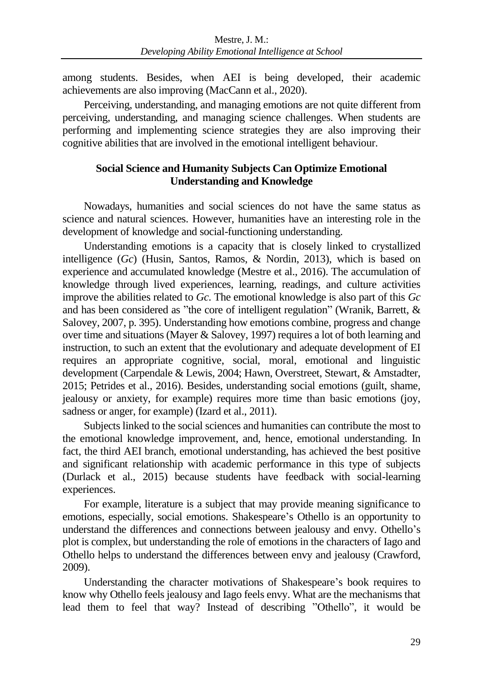among students. Besides, when AEI is being developed, their academic achievements are also improving (MacCann et al., 2020).

Perceiving, understanding, and managing emotions are not quite different from perceiving, understanding, and managing science challenges. When students are performing and implementing science strategies they are also improving their cognitive abilities that are involved in the emotional intelligent behaviour.

## **Social Science and Humanity Subjects Can Optimize Emotional Understanding and Knowledge**

Nowadays, humanities and social sciences do not have the same status as science and natural sciences. However, humanities have an interesting role in the development of knowledge and social-functioning understanding.

Understanding emotions is a capacity that is closely linked to crystallized intelligence (*Gc*) (Husin, Santos, Ramos, & Nordin, 2013), which is based on experience and accumulated knowledge (Mestre et al., 2016). The accumulation of knowledge through lived experiences, learning, readings, and culture activities improve the abilities related to *Gc*. The emotional knowledge is also part of this *Gc* and has been considered as "the core of intelligent regulation" (Wranik, Barrett, & Salovey, 2007, p. 395). Understanding how emotions combine, progress and change over time and situations (Mayer & Salovey, 1997) requires a lot of both learning and instruction, to such an extent that the evolutionary and adequate development of EI requires an appropriate cognitive, social, moral, emotional and linguistic development (Carpendale & Lewis, 2004; Hawn, Overstreet, Stewart, & Amstadter, 2015; Petrides et al., 2016). Besides, understanding social emotions (guilt, shame, jealousy or anxiety, for example) requires more time than basic emotions (joy, sadness or anger, for example) (Izard et al., 2011).

Subjects linked to the social sciences and humanities can contribute the most to the emotional knowledge improvement, and, hence, emotional understanding. In fact, the third AEI branch, emotional understanding, has achieved the best positive and significant relationship with academic performance in this type of subjects (Durlack et al., 2015) because students have feedback with social-learning experiences.

For example, literature is a subject that may provide meaning significance to emotions, especially, social emotions. Shakespeare's Othello is an opportunity to understand the differences and connections between jealousy and envy. Othello's plot is complex, but understanding the role of emotions in the characters of Iago and Othello helps to understand the differences between envy and jealousy (Crawford, 2009).

Understanding the character motivations of Shakespeare's book requires to know why Othello feels jealousy and Iago feels envy. What are the mechanisms that lead them to feel that way? Instead of describing "Othello", it would be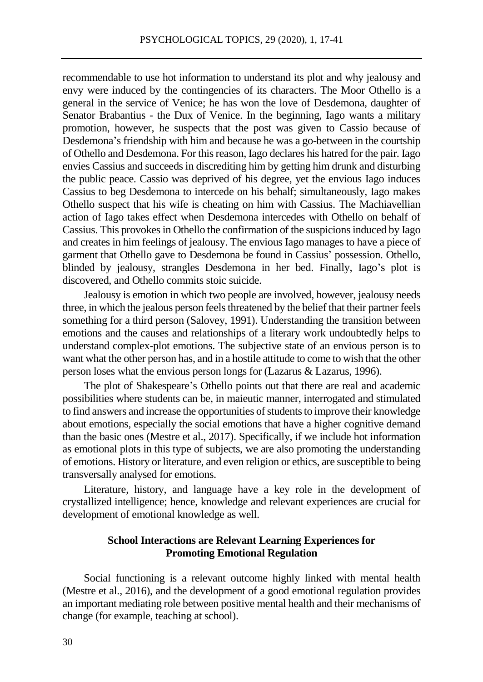recommendable to use hot information to understand its plot and why jealousy and envy were induced by the contingencies of its characters. The Moor Othello is a general in the service of Venice; he has won the love of Desdemona, daughter of Senator Brabantius - the Dux of Venice. In the beginning, Iago wants a military promotion, however, he suspects that the post was given to Cassio because of Desdemona's friendship with him and because he was a go-between in the courtship of Othello and Desdemona. For this reason, Iago declares his hatred for the pair. Iago envies Cassius and succeeds in discrediting him by getting him drunk and disturbing the public peace. Cassio was deprived of his degree, yet the envious Iago induces Cassius to beg Desdemona to intercede on his behalf; simultaneously, Iago makes Othello suspect that his wife is cheating on him with Cassius. The Machiavellian action of Iago takes effect when Desdemona intercedes with Othello on behalf of Cassius. This provokes in Othello the confirmation of the suspicions induced by Iago and creates in him feelings of jealousy. The envious Iago manages to have a piece of garment that Othello gave to Desdemona be found in Cassius' possession. Othello, blinded by jealousy, strangles Desdemona in her bed. Finally, Iago's plot is discovered, and Othello commits stoic suicide.

Jealousy is emotion in which two people are involved, however, jealousy needs three, in which the jealous person feels threatened by the belief that their partner feels something for a third person (Salovey, 1991). Understanding the transition between emotions and the causes and relationships of a literary work undoubtedly helps to understand complex-plot emotions. The subjective state of an envious person is to want what the other person has, and in a hostile attitude to come to wish that the other person loses what the envious person longs for (Lazarus & Lazarus, 1996).

The plot of Shakespeare's Othello points out that there are real and academic possibilities where students can be, in maieutic manner, interrogated and stimulated to find answers and increase the opportunities of students to improve their knowledge about emotions, especially the social emotions that have a higher cognitive demand than the basic ones (Mestre et al., 2017). Specifically, if we include hot information as emotional plots in this type of subjects, we are also promoting the understanding of emotions. History or literature, and even religion or ethics, are susceptible to being transversally analysed for emotions.

Literature, history, and language have a key role in the development of crystallized intelligence; hence, knowledge and relevant experiences are crucial for development of emotional knowledge as well.

## **School Interactions are Relevant Learning Experiences for Promoting Emotional Regulation**

Social functioning is a relevant outcome highly linked with mental health (Mestre et al., 2016), and the development of a good emotional regulation provides an important mediating role between positive mental health and their mechanisms of change (for example, teaching at school).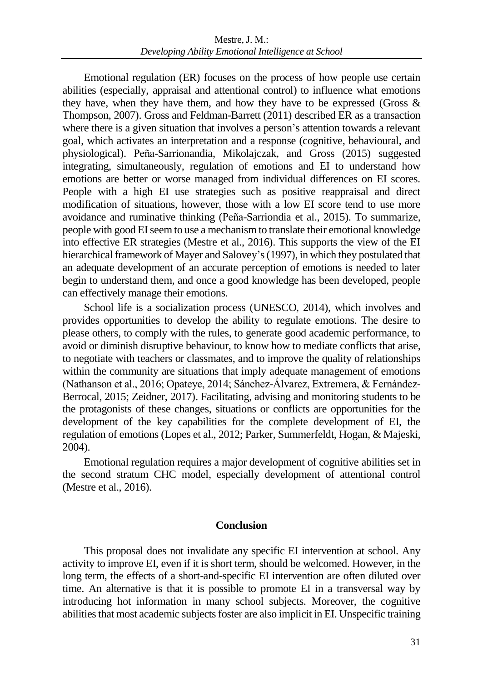Emotional regulation (ER) focuses on the process of how people use certain abilities (especially, appraisal and attentional control) to influence what emotions they have, when they have them, and how they have to be expressed (Gross  $\&$ Thompson, 2007). Gross and Feldman-Barrett (2011) described ER as a transaction where there is a given situation that involves a person's attention towards a relevant goal, which activates an interpretation and a response (cognitive, behavioural, and physiological). Peña-Sarrionandia, Mikolajczak, and Gross (2015) suggested integrating, simultaneously, regulation of emotions and EI to understand how emotions are better or worse managed from individual differences on EI scores. People with a high EI use strategies such as positive reappraisal and direct modification of situations, however, those with a low EI score tend to use more avoidance and ruminative thinking (Peña-Sarriondia et al., 2015). To summarize, people with good EI seem to use a mechanism to translate their emotional knowledge into effective ER strategies (Mestre et al., 2016). This supports the view of the EI hierarchical framework of Mayer and Salovey's (1997), in which they postulated that an adequate development of an accurate perception of emotions is needed to later begin to understand them, and once a good knowledge has been developed, people can effectively manage their emotions.

School life is a socialization process (UNESCO, 2014), which involves and provides opportunities to develop the ability to regulate emotions. The desire to please others, to comply with the rules, to generate good academic performance, to avoid or diminish disruptive behaviour, to know how to mediate conflicts that arise, to negotiate with teachers or classmates, and to improve the quality of relationships within the community are situations that imply adequate management of emotions (Nathanson et al., 2016; Opateye, 2014; Sánchez-Álvarez, Extremera, & Fernández-Berrocal, 2015; Zeidner, 2017). Facilitating, advising and monitoring students to be the protagonists of these changes, situations or conflicts are opportunities for the development of the key capabilities for the complete development of EI, the regulation of emotions (Lopes et al., 2012; Parker, Summerfeldt, Hogan, & Majeski, 2004).

Emotional regulation requires a major development of cognitive abilities set in the second stratum CHC model, especially development of attentional control (Mestre et al., 2016).

#### **Conclusion**

This proposal does not invalidate any specific EI intervention at school. Any activity to improve EI, even if it is short term, should be welcomed. However, in the long term, the effects of a short-and-specific EI intervention are often diluted over time. An alternative is that it is possible to promote EI in a transversal way by introducing hot information in many school subjects. Moreover, the cognitive abilities that most academic subjects foster are also implicit in EI. Unspecific training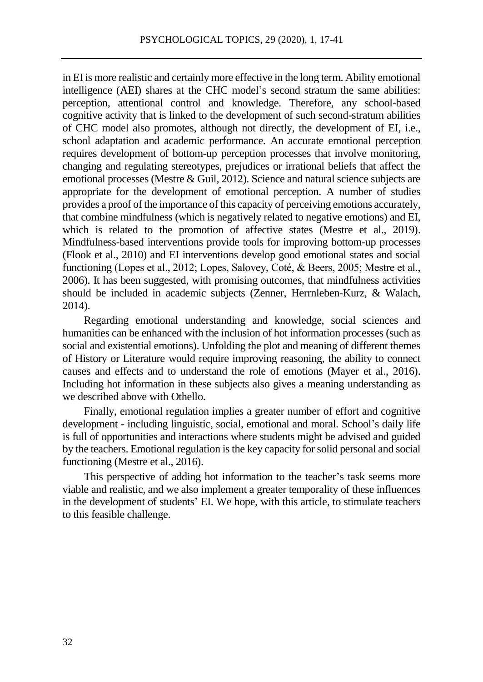in EI is more realistic and certainly more effective in the long term. Ability emotional intelligence (AEI) shares at the CHC model's second stratum the same abilities: perception, attentional control and knowledge. Therefore, any school-based cognitive activity that is linked to the development of such second-stratum abilities of CHC model also promotes, although not directly, the development of EI, i.e., school adaptation and academic performance. An accurate emotional perception requires development of bottom-up perception processes that involve monitoring, changing and regulating stereotypes, prejudices or irrational beliefs that affect the emotional processes (Mestre & Guil, 2012). Science and natural science subjects are appropriate for the development of emotional perception. A number of studies provides a proof of the importance of this capacity of perceiving emotions accurately, that combine mindfulness (which is negatively related to negative emotions) and EI, which is related to the promotion of affective states (Mestre et al., 2019). Mindfulness-based interventions provide tools for improving bottom-up processes (Flook et al., 2010) and EI interventions develop good emotional states and social functioning (Lopes et al., 2012; Lopes, Salovey, Coté, & Beers, 2005; Mestre et al., 2006). It has been suggested, with promising outcomes, that mindfulness activities should be included in academic subjects (Zenner, Herrnleben-Kurz, & Walach, 2014).

Regarding emotional understanding and knowledge, social sciences and humanities can be enhanced with the inclusion of hot information processes (such as social and existential emotions). Unfolding the plot and meaning of different themes of History or Literature would require improving reasoning, the ability to connect causes and effects and to understand the role of emotions (Mayer et al., 2016). Including hot information in these subjects also gives a meaning understanding as we described above with Othello.

Finally, emotional regulation implies a greater number of effort and cognitive development - including linguistic, social, emotional and moral. School's daily life is full of opportunities and interactions where students might be advised and guided by the teachers. Emotional regulation is the key capacity for solid personal and social functioning (Mestre et al., 2016).

This perspective of adding hot information to the teacher's task seems more viable and realistic, and we also implement a greater temporality of these influences in the development of students' EI. We hope, with this article, to stimulate teachers to this feasible challenge.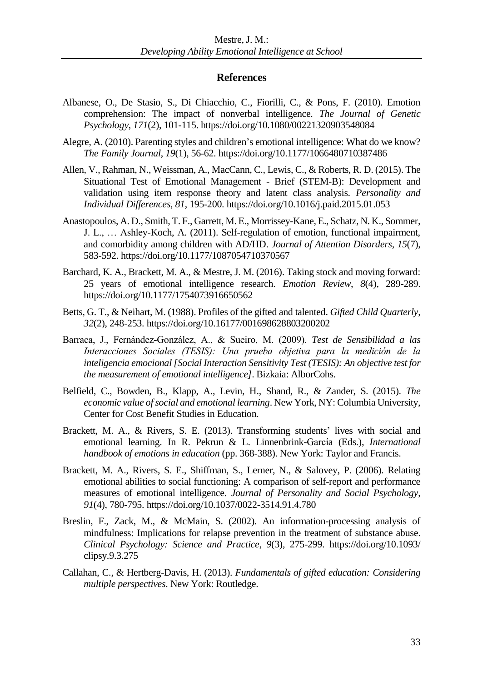#### **References**

- Albanese, O., De Stasio, S., Di Chiacchio, C., Fiorilli, C., & Pons, F. (2010). Emotion comprehension: The impact of nonverbal intelligence. *The Journal of Genetic Psychology*, *171*(2), 101-115. https://doi.org/10.1080/00221320903548084
- Alegre, A. (2010). Parenting styles and children's emotional intelligence: What do we know? *The Family Journal*, *19*(1), 56-62. https://doi.org/10.1177/1066480710387486
- Allen, V., Rahman, N., Weissman, A., MacCann, C., Lewis, C., & Roberts, R. D. (2015). The Situational Test of Emotional Management - Brief (STEM-B): Development and validation using item response theory and latent class analysis. *Personality and Individual Differences*, *81*, 195-200. https://doi.org/10.1016/j.paid.2015.01.053
- Anastopoulos, A. D., Smith, T. F., Garrett, M. E., Morrissey-Kane, E., Schatz, N. K., Sommer, J. L., … Ashley-Koch, A. (2011). Self-regulation of emotion, functional impairment, and comorbidity among children with AD/HD. *Journal of Attention Disorders*, *15*(7), 583-592. https://doi.org/10.1177/1087054710370567
- Barchard, K. A., Brackett, M. A., & Mestre, J. M. (2016). Taking stock and moving forward: 25 years of emotional intelligence research. *Emotion Review*, *8*(4), 289-289. https://doi.org/10.1177/1754073916650562
- Betts, G. T., & Neihart, M. (1988). Profiles of the gifted and talented. *Gifted Child Quarterly*, *32*(2), 248-253. https://doi.org/10.16177/001698628803200202
- Barraca, J., Fernández-González, A., & Sueiro, M. (2009). *Test de Sensibilidad a las Interacciones Sociales (TESIS): Una prueba objetiva para la medición de la inteligencia emocional[Social Interaction Sensitivity Test (TESIS): An objective test for the measurement of emotional intelligence]*. Bizkaia: AlborCohs.
- Belfield, C., Bowden, B., Klapp, A., Levin, H., Shand, R., & Zander, S. (2015). *The economic value of social and emotional learning*. New York, NY: Columbia University, Center for Cost Benefit Studies in Education.
- Brackett, M. A., & Rivers, S. E. (2013). Transforming students' lives with social and emotional learning. In R. Pekrun & L. Linnenbrink-García (Eds.), *International handbook of emotions in education* (pp. 368-388). New York: Taylor and Francis.
- Brackett, M. A., Rivers, S. E., Shiffman, S., Lerner, N., & Salovey, P. (2006). Relating emotional abilities to social functioning: A comparison of self-report and performance measures of emotional intelligence. *Journal of Personality and Social Psychology*, *91*(4), 780-795. https://doi.org/10.1037/0022-3514.91.4.780
- Breslin, F., Zack, M., & McMain, S. (2002). An information-processing analysis of mindfulness: Implications for relapse prevention in the treatment of substance abuse. *Clinical Psychology: Science and Practice*, *9*(3), 275-299. https://doi.org/10.1093/ clipsy.9.3.275
- Callahan, C., & Hertberg-Davis, H. (2013). *Fundamentals of gifted education: Considering multiple perspectives*. New York: Routledge.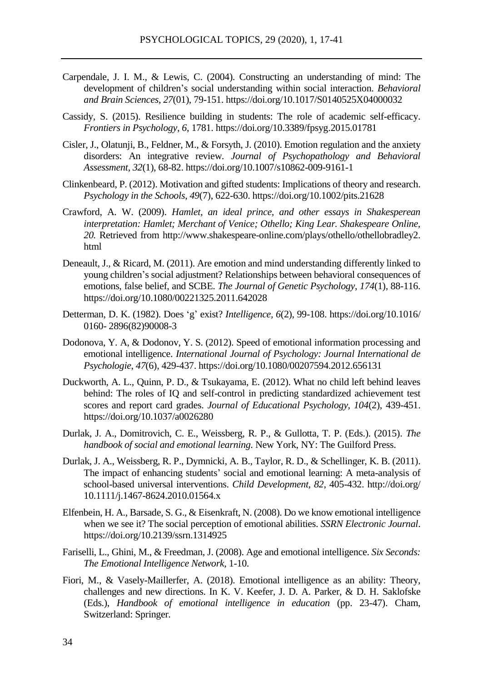- Carpendale, J. I. M., & Lewis, C. (2004). Constructing an understanding of mind: The development of children's social understanding within social interaction. *Behavioral and Brain Sciences*, *27*(01), 79-151. https://doi.org/10.1017/S0140525X04000032
- Cassidy, S. (2015). Resilience building in students: The role of academic self-efficacy. *Frontiers in Psychology*, *6*, 1781. https://doi.org/10.3389/fpsyg.2015.01781
- Cisler, J., Olatunji, B., Feldner, M., & Forsyth, J. (2010). Emotion regulation and the anxiety disorders: An integrative review. *Journal of Psychopathology and Behavioral Assessment*, *32*(1), 68-82. https://doi.org/10.1007/s10862-009-9161-1
- Clinkenbeard, P. (2012). Motivation and gifted students: Implications of theory and research. *Psychology in the Schools*, *49*(7), 622-630. https://doi.org/10.1002/pits.21628
- Crawford, A. W. (2009). *Hamlet, an ideal prince, and other essays in Shakesperean interpretation: Hamlet; Merchant of Venice; Othello; King Lear. Shakespeare Online, 20.* Retrieved from http://www.shakespeare-online.com/plays/othello/othellobradley2. html
- Deneault, J., & Ricard, M. (2011). Are emotion and mind understanding differently linked to young children's social adjustment? Relationships between behavioral consequences of emotions, false belief, and SCBE. *The Journal of Genetic Psychology*, *174*(1), 88-116. https://doi.org/10.1080/00221325.2011.642028
- Detterman, D. K. (1982). Does 'g' exist? *Intelligence, 6*(2), 99-108. https://doi.org/10.1016/ 0160- 2896(82)90008-3
- Dodonova, Y. A, & Dodonov, Y. S. (2012). Speed of emotional information processing and emotional intelligence. *International Journal of Psychology: Journal International de Psychologie*, *47*(6), 429-437. https://doi.org/10.1080/00207594.2012.656131
- Duckworth, A. L., Quinn, P. D., & Tsukayama, E. (2012). What no child left behind leaves behind: The roles of IQ and self-control in predicting standardized achievement test scores and report card grades. *Journal of Educational Psychology, 104*(2), 439-451. https://doi.org/10.1037/a0026280
- Durlak, J. A., Domitrovich, C. E., Weissberg, R. P., & Gullotta, T. P. (Eds.). (2015). *The handbook of social and emotional learning*. New York, NY: The Guilford Press.
- Durlak, J. A., Weissberg, R. P., Dymnicki, A. B., Taylor, R. D., & Schellinger, K. B. (2011). The impact of enhancing students' social and emotional learning: A meta-analysis of school-based universal interventions. *Child Development, 82*, 405-432. http://doi.org/ 10.1111/j.1467-8624.2010.01564.x
- Elfenbein, H. A., Barsade, S. G., & Eisenkraft, N. (2008). Do we know emotional intelligence when we see it? The social perception of emotional abilities. *SSRN Electronic Journal*. https://doi.org/10.2139/ssrn.1314925
- Fariselli, L., Ghini, M., & Freedman, J. (2008). Age and emotional intelligence. *Six Seconds: The Emotional Intelligence Network*, 1-10.
- Fiori, M., & Vasely-Maillerfer, A. (2018). Emotional intelligence as an ability: Theory, challenges and new directions. In K. V. Keefer, J. D. A. Parker, & D. H. Saklofske (Eds.), *Handbook of emotional intelligence in education* (pp. 23-47). Cham, Switzerland: Springer.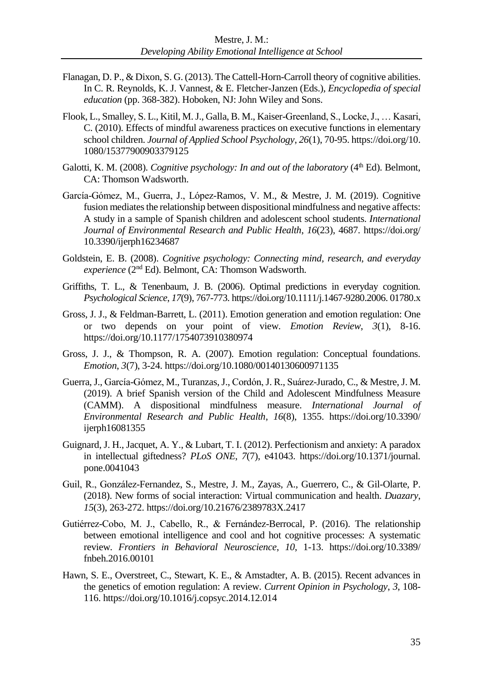- Flanagan, D. P., & Dixon, S. G. (2013). The Cattell-Horn-Carroll theory of cognitive abilities. In C. R. Reynolds, K. J. Vannest, & E. Fletcher-Janzen (Eds.), *Encyclopedia of special education* (pp. 368-382). Hoboken, NJ: John Wiley and Sons.
- Flook, L., Smalley, S. L., Kitil, M. J., Galla, B. M., Kaiser-Greenland, S., Locke, J., … Kasari, C. (2010). Effects of mindful awareness practices on executive functions in elementary school children. *Journal of Applied School Psychology*, *26*(1), 70-95. https://doi.org/10. 1080/15377900903379125
- Galotti, K. M. (2008). *Cognitive psychology: In and out of the laboratory* (4<sup>th</sup> Ed). Belmont, CA: Thomson Wadsworth.
- García-Gómez, M., Guerra, J., López-Ramos, V. M., & Mestre, J. M. (2019). Cognitive fusion mediates the relationship between dispositional mindfulness and negative affects: A study in a sample of Spanish children and adolescent school students. *International Journal of Environmental Research and Public Health*, *16*(23), 4687. https://doi.org/ 10.3390/ijerph16234687
- Goldstein, E. B. (2008). *Cognitive psychology: Connecting mind, research, and everyday*  experience (2<sup>nd</sup> Ed). Belmont, CA: Thomson Wadsworth.
- Griffiths, T. L., & Tenenbaum, J. B. (2006). Optimal predictions in everyday cognition. *Psychological Science*, *17*(9), 767-773. https://doi.org/10.1111/j.1467-9280.2006. 01780.x
- Gross, J. J., & Feldman-Barrett, L. (2011). Emotion generation and emotion regulation: One or two depends on your point of view. *Emotion Review*, *3*(1), 8-16. https://doi.org/10.1177/1754073910380974
- Gross, J. J., & Thompson, R. A. (2007). Emotion regulation: Conceptual foundations. *Emotion*, *3*(7), 3-24. https://doi.org/10.1080/00140130600971135
- Guerra, J., García-Gómez, M., Turanzas, J., Cordón, J. R., Suárez-Jurado, C., & Mestre, J. M. (2019). A brief Spanish version of the Child and Adolescent Mindfulness Measure (CAMM). A dispositional mindfulness measure. *International Journal of Environmental Research and Public Health*, *16*(8), 1355. https://doi.org/10.3390/ ijerph16081355
- Guignard, J. H., Jacquet, A. Y., & Lubart, T. I. (2012). Perfectionism and anxiety: A paradox in intellectual giftedness? *PLoS ONE*, *7*(7), e41043. https://doi.org/10.1371/journal. pone.0041043
- Guil, R., González-Fernandez, S., Mestre, J. M., Zayas, A., Guerrero, C., & Gil-Olarte, P. (2018). New forms of social interaction: Virtual communication and health. *Duazary*, *15*(3), 263-272. https://doi.org/10.21676/2389783X.2417
- Gutiérrez-Cobo, M. J., Cabello, R., & Fernández-Berrocal, P. (2016). The relationship between emotional intelligence and cool and hot cognitive processes: A systematic review. *Frontiers in Behavioral Neuroscience*, *10*, 1-13. https://doi.org/10.3389/ fnbeh.2016.00101
- Hawn, S. E., Overstreet, C., Stewart, K. E., & Amstadter, A. B. (2015). Recent advances in the genetics of emotion regulation: A review. *Current Opinion in Psychology*, *3*, 108- 116. https://doi.org/10.1016/j.copsyc.2014.12.014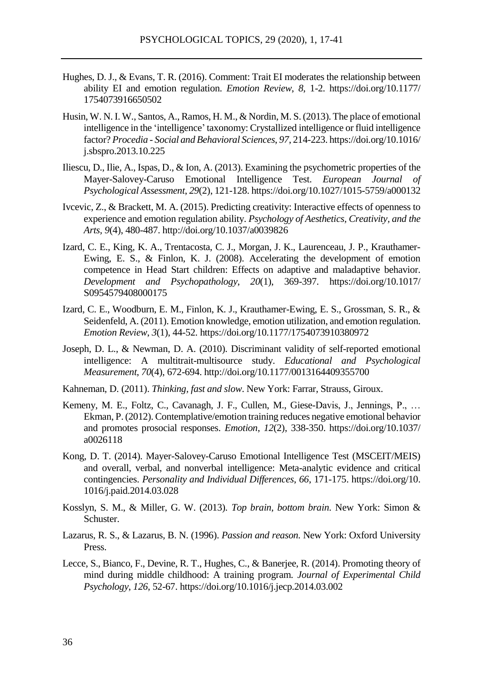- Hughes, D. J., & Evans, T. R. (2016). Comment: Trait EI moderates the relationship between ability EI and emotion regulation. *Emotion Review*, *8*, 1-2. https://doi.org/10.1177/ 1754073916650502
- Husin, W. N. I. W., Santos, A., Ramos, H. M., & Nordin, M. S. (2013). The place of emotional intelligence in the 'intelligence' taxonomy: Crystallized intelligence or fluid intelligence factor? *Procedia - Social and Behavioral Sciences*, *97*, 214-223. https://doi.org/10.1016/ j.sbspro.2013.10.225
- Iliescu, D., Ilie, A., Ispas, D., & Ion, A. (2013). Examining the psychometric properties of the Mayer-Salovey-Caruso Emotional Intelligence Test. *European Journal of Psychological Assessment*, *29*(2), 121-128. https://doi.org/10.1027/1015-5759/a000132
- Ivcevic, Z., & Brackett, M. A. (2015). Predicting creativity: Interactive effects of openness to experience and emotion regulation ability. *Psychology of Aesthetics, Creativity, and the Arts, 9*(4), 480-487. http://doi.org/10.1037/a0039826
- Izard, C. E., King, K. A., Trentacosta, C. J., Morgan, J. K., Laurenceau, J. P., Krauthamer-Ewing, E. S., & Finlon, K. J. (2008). Accelerating the development of emotion competence in Head Start children: Effects on adaptive and maladaptive behavior. *Development and Psychopathology*, *20*(1), 369-397. https://doi.org/10.1017/ S0954579408000175
- Izard, C. E., Woodburn, E. M., Finlon, K. J., Krauthamer-Ewing, E. S., Grossman, S. R., & Seidenfeld, A. (2011). Emotion knowledge, emotion utilization, and emotion regulation. *Emotion Review*, *3*(1), 44-52. https://doi.org/10.1177/1754073910380972
- Joseph, D. L., & Newman, D. A. (2010). Discriminant validity of self-reported emotional intelligence: A multitrait-multisource study. *Educational and Psychological Measurement*, *70*(4), 672-694. http://doi.org/10.1177/0013164409355700
- Kahneman, D. (2011). *Thinking, fast and slow*. New York: Farrar, Strauss, Giroux.
- Kemeny, M. E., Foltz, C., Cavanagh, J. F., Cullen, M., Giese-Davis, J., Jennings, P., … Ekman, P. (2012). Contemplative/emotion training reduces negative emotional behavior and promotes prosocial responses. *Emotion*, *12*(2), 338-350. https://doi.org/10.1037/ a0026118
- Kong, D. T. (2014). Mayer-Salovey-Caruso Emotional Intelligence Test (MSCEIT/MEIS) and overall, verbal, and nonverbal intelligence: Meta-analytic evidence and critical contingencies. *Personality and Individual Differences*, *66*, 171-175. https://doi.org/10. 1016/j.paid.2014.03.028
- Kosslyn, S. M., & Miller, G. W. (2013). *Top brain, bottom brain*. New York: Simon & Schuster.
- Lazarus, R. S., & Lazarus, B. N. (1996). *Passion and reason.* New York: Oxford University Press.
- Lecce, S., Bianco, F., Devine, R. T., Hughes, C., & Banerjee, R. (2014). Promoting theory of mind during middle childhood: A training program. *Journal of Experimental Child Psychology*, *126*, 52-67. https://doi.org/10.1016/j.jecp.2014.03.002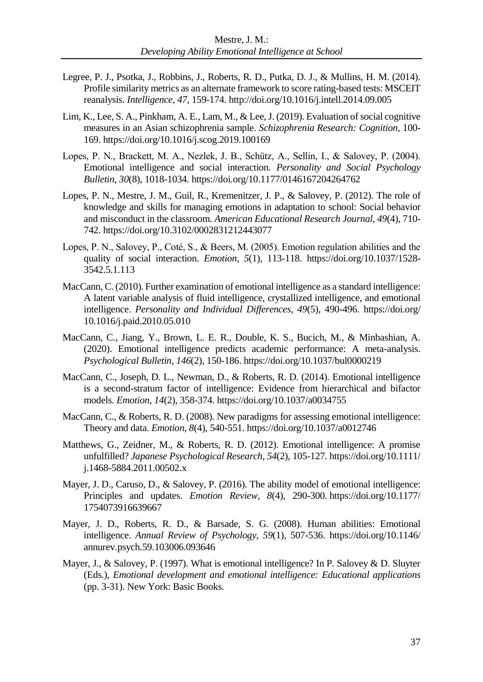- Legree, P. J., Psotka, J., Robbins, J., Roberts, R. D., Putka, D. J., & Mullins, H. M. (2014). Profile similarity metrics as an alternate framework to score rating-based tests: MSCEIT reanalysis. *Intelligence, 47*, 159-174. http://doi.org/10.1016/j.intell.2014.09.005
- Lim, K., Lee, S. A., Pinkham, A. E., Lam, M., & Lee, J. (2019). Evaluation of social cognitive measures in an Asian schizophrenia sample. *Schizophrenia Research: Cognition*, 100- 169. https://doi.org/10.1016/j.scog.2019.100169
- Lopes, P. N., Brackett, M. A., Nezlek, J. B., Schütz, A., Sellin, I., & Salovey, P. (2004). Emotional intelligence and social interaction. *Personality and Social Psychology Bulletin*, *30*(8), 1018-1034. https://doi.org/10.1177/0146167204264762
- Lopes, P. N., Mestre, J. M., Guil, R., Kremenitzer, J. P., & Salovey, P. (2012). The role of knowledge and skills for managing emotions in adaptation to school: Social behavior and misconduct in the classroom. *American Educational Research Journal*, *49*(4), 710- 742. https://doi.org/10.3102/0002831212443077
- Lopes, P. N., Salovey, P., Coté, S., & Beers, M. (2005). Emotion regulation abilities and the quality of social interaction. *Emotion*, *5*(1), 113-118. https://doi.org/10.1037/1528- 3542.5.1.113
- MacCann, C. (2010). Further examination of emotional intelligence as a standard intelligence: A latent variable analysis of fluid intelligence, crystallized intelligence, and emotional intelligence. *Personality and Individual Differences*, *49*(5), 490-496. https://doi.org/ 10.1016/j.paid.2010.05.010
- MacCann, C., Jiang, Y., Brown, L. E. R., Double, K. S., Bucich, M., & Minbashian, A. (2020). Emotional intelligence predicts academic performance: A meta-analysis. *Psychological Bulletin*, *146*(2), 150-186. https://doi.org/10.1037/bul0000219
- MacCann, C., Joseph, D. L., Newman, D., & Roberts, R. D. (2014). Emotional intelligence is a second-stratum factor of intelligence: Evidence from hierarchical and bifactor models. *Emotion*, *14*(2), 358-374. https://doi.org/10.1037/a0034755
- MacCann, C., & Roberts, R. D. (2008). New paradigms for assessing emotional intelligence: Theory and data. *Emotion, 8*(4), 540-551. https://doi.org/10.1037/a0012746
- Matthews, G., Zeidner, M., & Roberts, R. D. (2012). Emotional intelligence: A promise unfulfilled? *Japanese Psychological Research*, *54*(2), 105-127. https://doi.org/10.1111/ j.1468-5884.2011.00502.x
- Mayer, J. D., Caruso, D., & Salovey, P. (2016). The ability model of emotional intelligence: Principles and updates. *Emotion Review, 8*(4), 290-300. https://doi.org/10.1177/ 1754073916639667
- Mayer, J. D., Roberts, R. D., & Barsade, S. G. (2008). Human abilities: Emotional intelligence. *Annual Review of Psychology*, *59*(1), 507-536. https://doi.org/10.1146/ annurev.psych.59.103006.093646
- Mayer, J., & Salovey, P. (1997). What is emotional intelligence? In P. Salovey & D. Sluyter (Eds.), *Emotional development and emotional intelligence: Educational applications* (pp. 3-31). New York: Basic Books.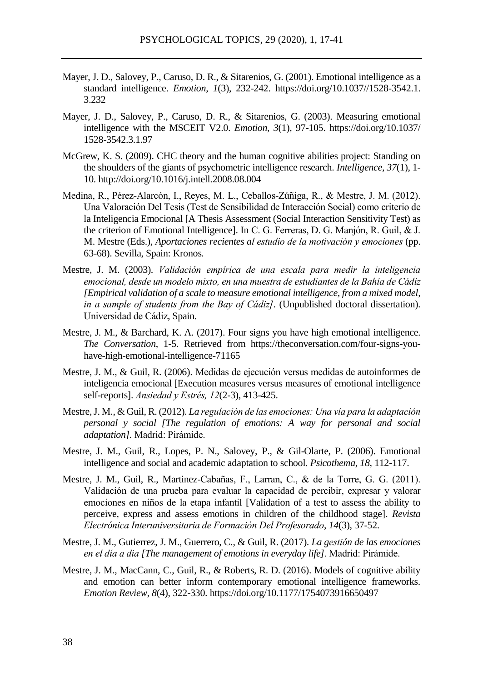- Mayer, J. D., Salovey, P., Caruso, D. R., & Sitarenios, G. (2001). Emotional intelligence as a standard intelligence. *Emotion*, *1*(3), 232-242. https://doi.org/10.1037//1528-3542.1. 3.232
- Mayer, J. D., Salovey, P., Caruso, D. R., & Sitarenios, G. (2003). Measuring emotional intelligence with the MSCEIT V2.0. *Emotion*, *3*(1), 97-105. https://doi.org/10.1037/ 1528-3542.3.1.97
- McGrew, K. S. (2009). CHC theory and the human cognitive abilities project: Standing on the shoulders of the giants of psychometric intelligence research. *Intelligence, 37*(1), 1- 10. http://doi.org/10.1016/j.intell.2008.08.004
- Medina, R., Pérez-Alarcón, I., Reyes, M. L., Ceballos-Zúñiga, R., & Mestre, J. M. (2012). Una Valoración Del Tesis (Test de Sensibilidad de Interacción Social) como criterio de la Inteligencia Emocional [A Thesis Assessment (Social Interaction Sensitivity Test) as the criterion of Emotional Intelligence]. In C. G. Ferreras, D. G. Manjón, R. Guil, & J. M. Mestre (Eds.), *Aportaciones recientes al estudio de la motivación y emociones* (pp. 63-68). Sevilla, Spain: Kronos.
- Mestre, J. M. (2003). *Validación empírica de una escala para medir la inteligencia emocional, desde un modelo mixto, en una muestra de estudiantes de la Bahía de Cádiz [Empirical validation of a scale to measure emotional intelligence, from a mixed model, in a sample of students from the Bay of Cádiz].* (Unpublished doctoral dissertation). Universidad de Cádiz, Spain.
- Mestre, J. M., & Barchard, K. A. (2017). Four signs you have high emotional intelligence. *The Conversation*, 1-5. Retrieved from https://theconversation.com/four-signs-youhave-high-emotional-intelligence-71165
- Mestre, J. M., & Guil, R. (2006). Medidas de ejecución versus medidas de autoinformes de inteligencia emocional [Execution measures versus measures of emotional intelligence self-reports]. *Ansiedad y Estrés, 12*(2-3), 413-425.
- Mestre, J. M., & Guil, R. (2012). *La regulación de las emociones: Una vía para la adaptación personal y social [The regulation of emotions: A way for personal and social adaptation].* Madrid: Pirámide.
- Mestre, J. M., Guil, R., Lopes, P. N., Salovey, P., & Gil-Olarte, P. (2006). Emotional intelligence and social and academic adaptation to school. *Psicothema*, *18,* 112-117.
- Mestre, J. M., Guil, R., Martinez-Cabañas, F., Larran, C., & de la Torre, G. G. (2011). Validación de una prueba para evaluar la capacidad de percibir, expresar y valorar emociones en niños de la etapa infantil [Validation of a test to assess the ability to perceive, express and assess emotions in children of the childhood stage]. *Revista Electrónica Interuniversitaria de Formación Del Profesorado*, *14*(3), 37-52.
- Mestre, J. M., Gutierrez, J. M., Guerrero, C., & Guil, R. (2017). *La gestión de las emociones en el día a dia [The management of emotions in everyday life]*. Madrid: Pirámide.
- Mestre, J. M., MacCann, C., Guil, R., & Roberts, R. D. (2016). Models of cognitive ability and emotion can better inform contemporary emotional intelligence frameworks. *Emotion Review*, *8*(4), 322-330. https://doi.org/10.1177/1754073916650497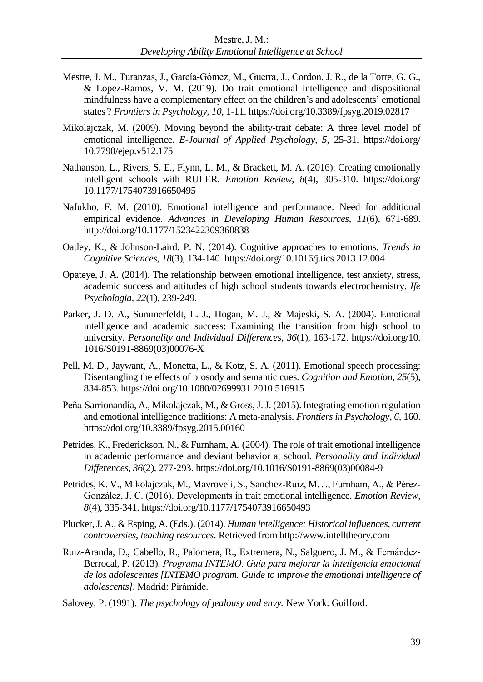- Mestre, J. M., Turanzas, J., García-Gómez, M., Guerra, J., Cordon, J. R., de la Torre, G. G., & Lopez-Ramos, V. M. (2019). Do trait emotional intelligence and dispositional mindfulness have a complementary effect on the children's and adolescents' emotional states ? *Frontiers in Psychology*, *10*, 1-11. https://doi.org/10.3389/fpsyg.2019.02817
- Mikolajczak, M. (2009). Moving beyond the ability-trait debate: A three level model of emotional intelligence. *E-Journal of Applied Psychology, 5,* 25-31. https://doi.org/ 10.7790/ejep.v512.175
- Nathanson, L., Rivers, S. E., Flynn, L. M., & Brackett, M. A. (2016). Creating emotionally intelligent schools with RULER. *Emotion Review*, *8*(4), 305-310. https://doi.org/ 10.1177/1754073916650495
- Nafukho, F. M. (2010). Emotional intelligence and performance: Need for additional empirical evidence. *Advances in Developing Human Resources*, *11*(6), 671-689. http://doi.org/10.1177/1523422309360838
- Oatley, K., & Johnson-Laird, P. N. (2014). Cognitive approaches to emotions. *Trends in Cognitive Sciences*, *18*(3), 134-140. https://doi.org/10.1016/j.tics.2013.12.004
- Opateye, J. A. (2014). The relationship between emotional intelligence, test anxiety, stress, academic success and attitudes of high school students towards electrochemistry. *Ife Psychologia*, *22*(1), 239-249.
- Parker, J. D. A., Summerfeldt, L. J., Hogan, M. J., & Majeski, S. A. (2004). Emotional intelligence and academic success: Examining the transition from high school to university. *Personality and Individual Differences*, *36*(1), 163-172. https://doi.org/10. 1016/S0191-8869(03)00076-X
- Pell, M. D., Jaywant, A., Monetta, L., & Kotz, S. A. (2011). Emotional speech processing: Disentangling the effects of prosody and semantic cues. *Cognition and Emotion*, *25*(5), 834-853. https://doi.org/10.1080/02699931.2010.516915
- Peña-Sarrionandia, A., Mikolajczak, M., & Gross, J. J. (2015). Integrating emotion regulation and emotional intelligence traditions: A meta-analysis. *Frontiers in Psychology, 6,* 160. https://doi.org/10.3389/fpsyg.2015.00160
- Petrides, K., Frederickson, N., & Furnham, A. (2004). The role of trait emotional intelligence in academic performance and deviant behavior at school. *Personality and Individual Differences*, *36*(2), 277-293. https://doi.org/10.1016/S0191-8869(03)00084-9
- Petrides, K. V., Mikolajczak, M., Mavroveli, S., Sanchez-Ruiz, M. J., Furnham, A., & Pérez-González, J. C. (2016). Developments in trait emotional intelligence. *Emotion Review*, *8*(4), 335-341. https://doi.org/10.1177/1754073916650493
- Plucker, J. A., & Esping, A. (Eds.). (2014). *Human intelligence: Historical influences, current controversies, teaching resources*. Retrieved from http://www.intelltheory.com
- Ruiz-Aranda, D., Cabello, R., Palomera, R., Extremera, N., Salguero, J. M., & Fernández-Berrocal, P. (2013). *Programa INTEMO. Guía para mejorar la inteligencia emocional de los adolescentes [INTEMO program. Guide to improve the emotional intelligence of adolescents].* Madrid: Pirámide.
- Salovey, P. (1991). *The psychology of jealousy and envy.* New York: Guilford.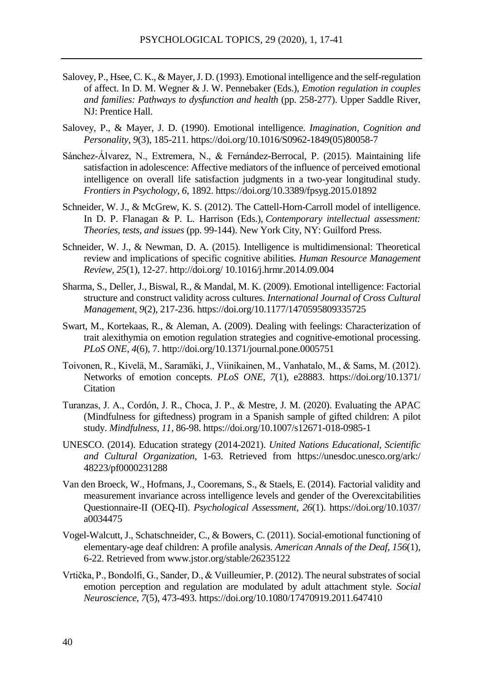- Salovey, P., Hsee, C. K., & Mayer, J. D. (1993). Emotional intelligence and the self-regulation of affect. In D. M. Wegner & J. W. Pennebaker (Eds.), *Emotion regulation in couples and families: Pathways to dysfunction and health* (pp. 258-277). Upper Saddle River, NJ: Prentice Hall.
- Salovey, P., & Mayer, J. D. (1990). Emotional intelligence. *Imagination, Cognition and Personality*, *9*(3), 185-211. https://doi.org/10.1016/S0962-1849(05)80058-7
- Sánchez-Álvarez, N., Extremera, N., & Fernández-Berrocal, P. (2015). Maintaining life satisfaction in adolescence: Affective mediators of the influence of perceived emotional intelligence on overall life satisfaction judgments in a two-year longitudinal study. *Frontiers in Psychology*, *6*, 1892. https://doi.org/10.3389/fpsyg.2015.01892
- Schneider, W. J., & McGrew, K. S. (2012). The Cattell-Horn-Carroll model of intelligence. In D. P. Flanagan & P. L. Harrison (Eds.), *Contemporary intellectual assessment: Theories, tests, and issues* (pp. 99-144). New York City, NY: Guilford Press.
- Schneider, W. J., & Newman, D. A. (2015). Intelligence is multidimensional: Theoretical review and implications of specific cognitive abilities. *Human Resource Management Review, 25*(1), 12-27. http://doi.org/ 10.1016/j.hrmr.2014.09.004
- Sharma, S., Deller, J., Biswal, R., & Mandal, M. K. (2009). Emotional intelligence: Factorial structure and construct validity across cultures. *International Journal of Cross Cultural Management*, *9*(2), 217-236. https://doi.org/10.1177/1470595809335725
- Swart, M., Kortekaas, R., & Aleman, A. (2009). Dealing with feelings: Characterization of trait alexithymia on emotion regulation strategies and cognitive-emotional processing. *PLoS ONE*, *4*(6), 7. http://doi.org/10.1371/journal.pone.0005751
- Toivonen, R., Kivelä, M., Saramäki, J., Viinikainen, M., Vanhatalo, M., & Sams, M. (2012). Networks of emotion concepts. *PLoS ONE*, *7*(1), e28883. https://doi.org/10.1371/ **Citation**
- Turanzas, J. A., Cordón, J. R., Choca, J. P., & Mestre, J. M. (2020). Evaluating the APAC (Mindfulness for giftedness) program in a Spanish sample of gifted children: A pilot study. *Mindfulness*, *11,* 86-98. https://doi.org/10.1007/s12671-018-0985-1
- UNESCO. (2014). Education strategy (2014-2021). *United Nations Educational, Scientific and Cultural Organization*, 1-63. Retrieved from https://unesdoc.unesco.org/ark:/ 48223/pf0000231288
- Van den Broeck, W., Hofmans, J., Cooremans, S., & Staels, E. (2014). Factorial validity and measurement invariance across intelligence levels and gender of the Overexcitabilities Questionnaire-II (OEQ-II). *Psychological Assessment*, *26*(1). https://doi.org/10.1037/ a0034475
- Vogel-Walcutt, J., Schatschneider, C., & Bowers, C. (2011). Social-emotional functioning of elementary-age deaf children: A profile analysis. *American Annals of the Deaf, 156*(1), 6-22. Retrieved from www.jstor.org/stable/26235122
- Vrtička, P., Bondolfi, G., Sander, D., & Vuilleumier, P. (2012). The neural substrates of social emotion perception and regulation are modulated by adult attachment style. *Social Neuroscience*, *7*(5), 473-493. https://doi.org/10.1080/17470919.2011.647410